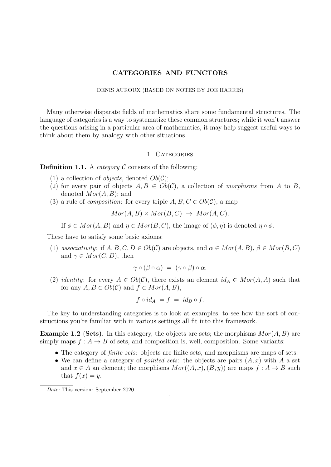### CATEGORIES AND FUNCTORS

#### DENIS AUROUX (BASED ON NOTES BY JOE HARRIS)

Many otherwise disparate fields of mathematics share some fundamental structures. The language of categories is a way to systematize these common structures; while it won't answer the questions arising in a particular area of mathematics, it may help suggest useful ways to think about them by analogy with other situations.

# 1. CATEGORIES

# **Definition 1.1.** A *category*  $\mathcal C$  consists of the following:

- (1) a collection of *objects*, denoted  $Ob(\mathcal{C})$ ;
- (2) for every pair of objects  $A, B \in Ob(\mathcal{C})$ , a collection of morphisms from A to B, denoted  $Mor(A, B)$ ; and
- (3) a rule of *composition*: for every triple  $A, B, C \in Ob(C)$ , a map

 $Mor(A, B) \times Mor(B, C) \rightarrow Mor(A, C).$ 

If  $\phi \in Mor(A, B)$  and  $\eta \in Mor(B, C)$ , the image of  $(\phi, \eta)$  is denoted  $\eta \circ \phi$ .

These have to satisfy some basic axioms:

(1) associativity: if  $A, B, C, D \in Ob(C)$  are objects, and  $\alpha \in Mor(A, B), \beta \in Mor(B, C)$ and  $\gamma \in Mor(C, D)$ , then

$$
\gamma \circ (\beta \circ \alpha) = (\gamma \circ \beta) \circ \alpha.
$$

(2) identity: for every  $A \in Ob(\mathcal{C})$ , there exists an element  $id_A \in Mor(A, A)$  such that for any  $A, B \in Ob(\mathcal{C})$  and  $f \in Mor(A, B)$ ,

$$
f \circ id_A = f = id_B \circ f.
$$

The key to understanding categories is to look at examples, to see how the sort of constructions you're familiar with in various settings all fit into this framework.

**Example 1.2 (Sets).** In this category, the objects are sets; the morphisms  $Mor(A, B)$  are simply maps  $f : A \to B$  of sets, and composition is, well, composition. Some variants:

- The category of *finite sets*: objects are finite sets, and morphisms are maps of sets.
- We can define a category of *pointed sets*: the objects are pairs  $(A, x)$  with A a set and  $x \in A$  an element; the morphisms  $Mor((A, x), (B, y))$  are maps  $f : A \rightarrow B$  such that  $f(x) = y$ .

Date: This version: September 2020.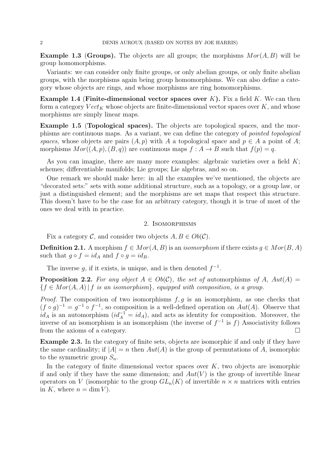**Example 1.3 (Groups).** The objects are all groups; the morphisms  $Mor(A, B)$  will be group homomorphisms.

Variants: we can consider only finite groups, or only abelian groups, or only finite abelian groups, with the morphisms again being group homomorphisms. We can also define a category whose objects are rings, and whose morphisms are ring homomorphisms.

**Example 1.4 (Finite-dimensional vector spaces over K).** Fix a field K. We can then form a category  $Vect_K$  whose objects are finite-dimensional vector spaces over K, and whose morphisms are simply linear maps.

Example 1.5 (Topological spaces). The objects are topological spaces, and the morphisms are continuous maps. As a variant, we can define the category of pointed topological spaces, whose objects are pairs  $(A, p)$  with A a topological space and  $p \in A$  a point of A; morphisms  $Mor((A, p), (B, q))$  are continuous maps  $f : A \rightarrow B$  such that  $f(p) = q$ .

As you can imagine, there are many more examples: algebraic varieties over a field  $K$ ; schemes; differentiable manifolds; Lie groups; Lie algebras, and so on.

One remark we should make here: in all the examples we've mentioned, the objects are "decorated sets:" sets with some additional structure, such as a topology, or a group law, or just a distinguished element; and the morphisms are set maps that respect this structure. This doesn't have to be the case for an arbitrary category, though it is true of most of the ones we deal with in practice.

### 2. Isomorphisms

Fix a category C, and consider two objects  $A, B \in Ob(\mathcal{C})$ .

**Definition 2.1.** A morphism  $f \in Mor(A, B)$  is an *isomorphism* if there exists  $g \in Mor(B, A)$ such that  $g \circ f = id_A$  and  $f \circ g = id_B$ .

The inverse g, if it exists, is unique, and is then denoted  $f^{-1}$ .

**Proposition 2.2.** For any object  $A \in Ob(\mathcal{C})$ , the set of automorphisms of A,  $Aut(A)$  ${f \in Mor(A, A) | f \text{ is an isomorphism},$  equipped with composition, is a group.

*Proof.* The composition of two isomorphisms  $f, g$  is an isomorphism, as one checks that  $(f \circ g)^{-1} = g^{-1} \circ f^{-1}$ , so composition is a well-defined operation on  $Aut(A)$ . Observe that  $id_A$  is an automorphism  $(id_A^{-1} = id_A)$ , and acts as identity for composition. Moreover, the inverse of an isomorphism is an isomorphism (the inverse of  $f^{-1}$  is f) Associativity follows from the axioms of a category.

Example 2.3. In the category of finite sets, objects are isomorphic if and only if they have the same cardinality; if  $|A| = n$  then  $Aut(A)$  is the group of permutations of A, isomorphic to the symmetric group  $S_n$ .

In the category of finite dimensional vector spaces over  $K$ , two objects are isomorphic if and only if they have the same dimension; and  $Aut(V)$  is the group of invertible linear operators on V (isomorphic to the group  $GL_n(K)$  of invertible  $n \times n$  matrices with entries in K, where  $n = \dim V$ .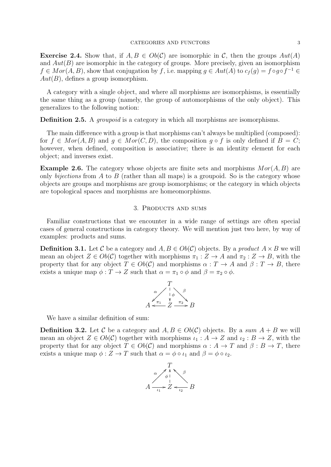**Exercise 2.4.** Show that, if  $A, B \in Ob(C)$  are isomorphic in C, then the groups  $Aut(A)$ and  $Aut(B)$  are isomorphic in the category of groups. More precisely, given an isomorphism  $f \in Mor(A, B)$ , show that conjugation by f, i.e. mapping  $g \in Aut(A)$  to  $c_f(g) = f \circ g \circ f^{-1} \in$  $Aut(B)$ , defines a group isomorphism.

A category with a single object, and where all morphisms are isomorphisms, is essentially the same thing as a group (namely, the group of automorphisms of the only object). This generalizes to the following notion:

Definition 2.5. A *groupoid* is a category in which all morphisms are isomorphisms.

The main difference with a group is that morphisms can't always be multiplied (composed): for  $f \in Mor(A, B)$  and  $g \in Mor(C, D)$ , the composition  $g \circ f$  is only defined if  $B = C$ ; however, when defined, composition is associative; there is an identity element for each object; and inverses exist.

**Example 2.6.** The category whose objects are finite sets and morphisms  $Mor(A, B)$  are only bijections from A to B (rather than all maps) is a groupoid. So is the category whose objects are groups and morphisms are group isomorphisms; or the category in which objects are topological spaces and morphisms are homeomorphisms.

### 3. Products and sums

Familiar constructions that we encounter in a wide range of settings are often special cases of general constructions in category theory. We will mention just two here, by way of examples: products and sums.

**Definition 3.1.** Let C be a category and  $A, B \in Ob(\mathcal{C})$  objects. By a product  $A \times B$  we will mean an object  $Z \in Ob(\mathcal{C})$  together with morphisms  $\pi_1 : Z \to A$  and  $\pi_2 : Z \to B$ , with the property that for any object  $T \in Ob(\mathcal{C})$  and morphisms  $\alpha : T \to A$  and  $\beta : T \to B$ , there exists a unique map  $\phi: T \to Z$  such that  $\alpha = \pi_1 \circ \phi$  and  $\beta = \pi_2 \circ \phi$ .



We have a similar definition of sum:

**Definition 3.2.** Let C be a category and  $A, B \in Ob(\mathcal{C})$  objects. By a sum  $A + B$  we will mean an object  $Z \in Ob(\mathcal{C})$  together with morphisms  $\iota_1 : A \to Z$  and  $\iota_2 : B \to Z$ , with the property that for any object  $T \in Ob(\mathcal{C})$  and morphisms  $\alpha : A \to T$  and  $\beta : B \to T$ , there exists a unique map  $\phi: Z \to T$  such that  $\alpha = \phi \circ \iota_1$  and  $\beta = \phi \circ \iota_2$ .

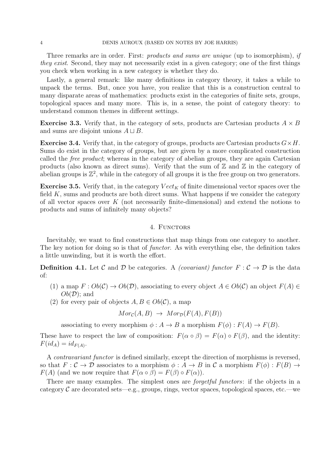Three remarks are in order. First: *products and sums are unique* (up to isomorphism), if they exist. Second, they may not necessarily exist in a given category; one of the first things you check when working in a new category is whether they do.

Lastly, a general remark: like many definitions in category theory, it takes a while to unpack the terms. But, once you have, you realize that this is a construction central to many disparate areas of mathematics: products exist in the categories of finite sets, groups, topological spaces and many more. This is, in a sense, the point of category theory: to understand common themes in different settings.

**Exercise 3.3.** Verify that, in the category of sets, products are Cartesian products  $A \times B$ and sums are disjoint unions  $A \sqcup B$ .

**Exercise 3.4.** Verify that, in the category of groups, products are Cartesian products  $G \times H$ . Sums do exist in the category of groups, but are given by a more complicated construction called the free product; whereas in the category of abelian groups, they are again Cartesian products (also known as direct sums). Verify that the sum of  $\mathbb Z$  and  $\mathbb Z$  in the category of abelian groups is  $\mathbb{Z}^2$ , while in the category of all groups it is the free group on two generators.

**Exercise 3.5.** Verify that, in the category  $Vect_K$  of finite dimensional vector spaces over the field K, sums and products are both direct sums. What happens if we consider the category of all vector spaces over  $K$  (not necessarily finite-dimensional) and extend the notions to products and sums of infinitely many objects?

#### 4. FUNCTORS

Inevitably, we want to find constructions that map things from one category to another. The key notion for doing so is that of *functor*. As with everything else, the definition takes a little unwinding, but it is worth the effort.

**Definition 4.1.** Let C and D be categories. A *(covariant) functor*  $F : C \to D$  is the data of:

- (1) a map  $F: Ob(\mathcal{C}) \to Ob(\mathcal{D})$ , associating to every object  $A \in Ob(\mathcal{C})$  an object  $F(A) \in$  $Ob(\mathcal{D})$ ; and
- (2) for every pair of objects  $A, B \in Ob(\mathcal{C})$ , a map

$$
Mor_{\mathcal{C}}(A, B) \rightarrow Mor_{\mathcal{D}}(F(A), F(B))
$$

associating to every morphism  $\phi: A \to B$  a morphism  $F(\phi): F(A) \to F(B)$ .

These have to respect the law of composition:  $F(\alpha \circ \beta) = F(\alpha) \circ F(\beta)$ , and the identity:  $F(id_A) = id_{F(A)}.$ 

A contravariant functor is defined similarly, except the direction of morphisms is reversed, so that  $F: \mathcal{C} \to \mathcal{D}$  associates to a morphism  $\phi: A \to B$  in  $\mathcal{C}$  a morphism  $F(\phi): F(B) \to$  $F(A)$  (and we now require that  $F(\alpha \circ \beta) = F(\beta) \circ F(\alpha)$ ).

There are many examples. The simplest ones are *forgetful functors*: if the objects in a category  $\mathcal C$  are decorated sets—e.g., groups, rings, vector spaces, topological spaces, etc.—we